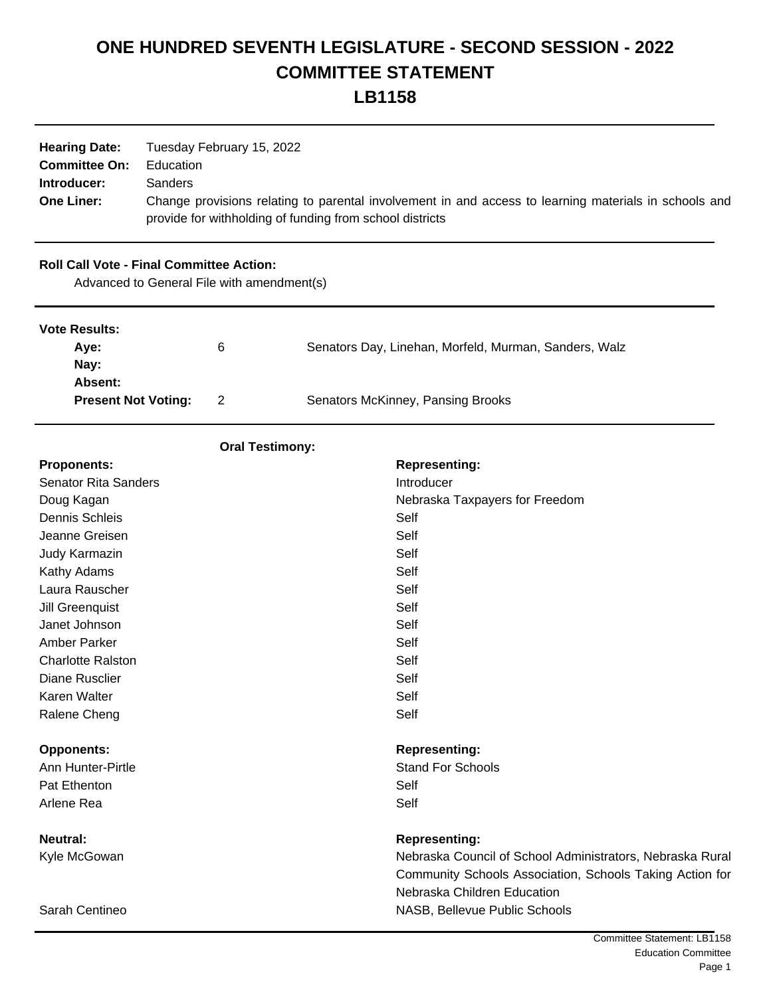# **ONE HUNDRED SEVENTH LEGISLATURE - SECOND SESSION - 2022 COMMITTEE STATEMENT**

| <b>Hearing Date:</b><br><b>Committee On:</b><br>Introducer:<br><b>One Liner:</b> | Tuesday February 15, 2022<br>Education<br>Sanders<br>Change provisions relating to parental involvement in and access to learning materials in schools and<br>provide for withholding of funding from school districts |                                            |                                                                                                                                                      |  |
|----------------------------------------------------------------------------------|------------------------------------------------------------------------------------------------------------------------------------------------------------------------------------------------------------------------|--------------------------------------------|------------------------------------------------------------------------------------------------------------------------------------------------------|--|
| <b>Roll Call Vote - Final Committee Action:</b>                                  |                                                                                                                                                                                                                        | Advanced to General File with amendment(s) |                                                                                                                                                      |  |
| <b>Vote Results:</b><br>Aye:<br>Nay:                                             |                                                                                                                                                                                                                        | 6                                          | Senators Day, Linehan, Morfeld, Murman, Sanders, Walz                                                                                                |  |
| Absent:<br><b>Present Not Voting:</b>                                            |                                                                                                                                                                                                                        | $\overline{2}$                             | Senators McKinney, Pansing Brooks                                                                                                                    |  |
|                                                                                  |                                                                                                                                                                                                                        | <b>Oral Testimony:</b>                     |                                                                                                                                                      |  |
| <b>Proponents:</b>                                                               |                                                                                                                                                                                                                        |                                            | <b>Representing:</b>                                                                                                                                 |  |
| <b>Senator Rita Sanders</b>                                                      |                                                                                                                                                                                                                        |                                            | Introducer                                                                                                                                           |  |
| Doug Kagan                                                                       |                                                                                                                                                                                                                        |                                            | Nebraska Taxpayers for Freedom                                                                                                                       |  |
| <b>Dennis Schleis</b>                                                            |                                                                                                                                                                                                                        |                                            | Self                                                                                                                                                 |  |
| Jeanne Greisen                                                                   |                                                                                                                                                                                                                        |                                            | Self                                                                                                                                                 |  |
| Judy Karmazin                                                                    |                                                                                                                                                                                                                        |                                            | Self                                                                                                                                                 |  |
| Kathy Adams                                                                      |                                                                                                                                                                                                                        |                                            | Self                                                                                                                                                 |  |
| Laura Rauscher                                                                   |                                                                                                                                                                                                                        |                                            | Self                                                                                                                                                 |  |
| Jill Greenquist                                                                  |                                                                                                                                                                                                                        |                                            | Self                                                                                                                                                 |  |
| Janet Johnson                                                                    |                                                                                                                                                                                                                        |                                            | Self                                                                                                                                                 |  |
| <b>Amber Parker</b>                                                              |                                                                                                                                                                                                                        |                                            | Self                                                                                                                                                 |  |
| <b>Charlotte Ralston</b>                                                         |                                                                                                                                                                                                                        |                                            | Self                                                                                                                                                 |  |
| <b>Diane Rusclier</b>                                                            |                                                                                                                                                                                                                        |                                            | Self                                                                                                                                                 |  |
| Karen Walter<br>Ralene Cheng                                                     |                                                                                                                                                                                                                        |                                            | Self<br>Self                                                                                                                                         |  |
|                                                                                  |                                                                                                                                                                                                                        |                                            |                                                                                                                                                      |  |
| <b>Opponents:</b>                                                                |                                                                                                                                                                                                                        |                                            | <b>Representing:</b>                                                                                                                                 |  |
| Ann Hunter-Pirtle                                                                |                                                                                                                                                                                                                        |                                            | <b>Stand For Schools</b>                                                                                                                             |  |
| Pat Ethenton                                                                     |                                                                                                                                                                                                                        |                                            | Self                                                                                                                                                 |  |
| Arlene Rea                                                                       |                                                                                                                                                                                                                        |                                            | Self                                                                                                                                                 |  |
| <b>Neutral:</b>                                                                  |                                                                                                                                                                                                                        |                                            | <b>Representing:</b>                                                                                                                                 |  |
| Kyle McGowan                                                                     |                                                                                                                                                                                                                        |                                            | Nebraska Council of School Administrators, Nebraska Rural<br>Community Schools Association, Schools Taking Action for<br>Nebraska Children Education |  |
| Sarah Centineo                                                                   |                                                                                                                                                                                                                        |                                            | NASB, Bellevue Public Schools                                                                                                                        |  |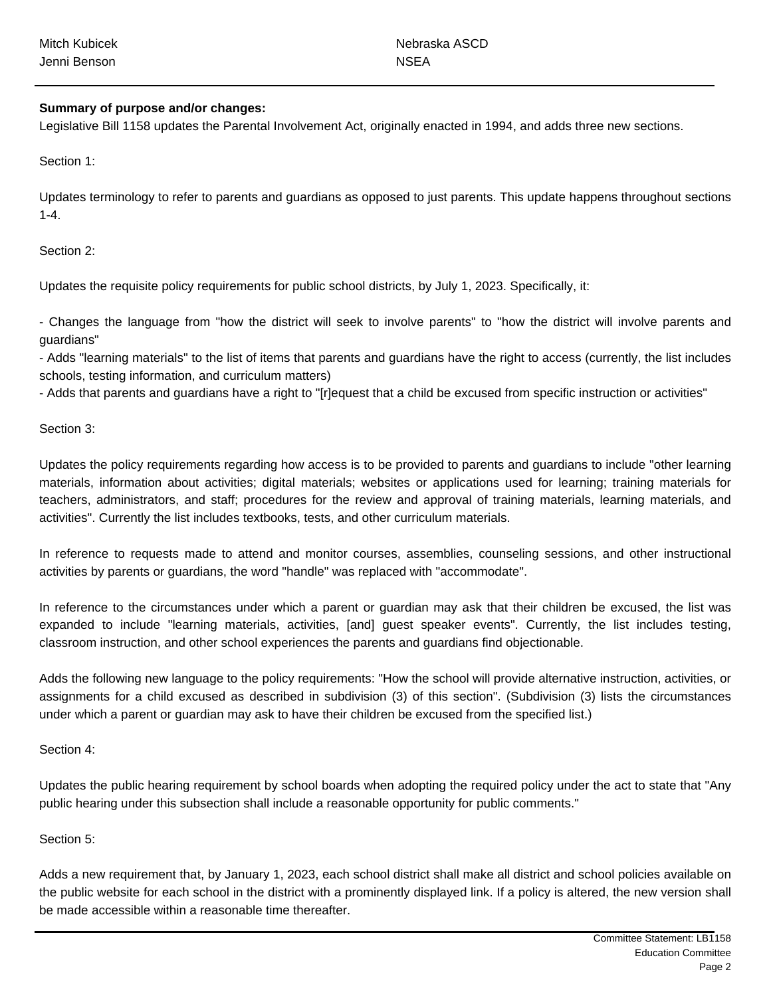| <b>Mitch Kubicek</b> | Nebraska ASCD |
|----------------------|---------------|
| Jenni Benson         | <b>NSEA</b>   |

## **Summary of purpose and/or changes:**

Legislative Bill 1158 updates the Parental Involvement Act, originally enacted in 1994, and adds three new sections.

Section 1:

Updates terminology to refer to parents and guardians as opposed to just parents. This update happens throughout sections 1-4.

Section 2:

Updates the requisite policy requirements for public school districts, by July 1, 2023. Specifically, it:

- Changes the language from "how the district will seek to involve parents" to "how the district will involve parents and guardians"

- Adds "learning materials" to the list of items that parents and guardians have the right to access (currently, the list includes schools, testing information, and curriculum matters)

- Adds that parents and guardians have a right to "[r]equest that a child be excused from specific instruction or activities"

Section 3:

Updates the policy requirements regarding how access is to be provided to parents and guardians to include "other learning materials, information about activities; digital materials; websites or applications used for learning; training materials for teachers, administrators, and staff; procedures for the review and approval of training materials, learning materials, and activities". Currently the list includes textbooks, tests, and other curriculum materials.

In reference to requests made to attend and monitor courses, assemblies, counseling sessions, and other instructional activities by parents or guardians, the word "handle" was replaced with "accommodate".

In reference to the circumstances under which a parent or guardian may ask that their children be excused, the list was expanded to include "learning materials, activities, [and] guest speaker events". Currently, the list includes testing, classroom instruction, and other school experiences the parents and guardians find objectionable.

Adds the following new language to the policy requirements: "How the school will provide alternative instruction, activities, or assignments for a child excused as described in subdivision (3) of this section". (Subdivision (3) lists the circumstances under which a parent or guardian may ask to have their children be excused from the specified list.)

Section 4:

Updates the public hearing requirement by school boards when adopting the required policy under the act to state that "Any public hearing under this subsection shall include a reasonable opportunity for public comments."

#### Section 5:

Adds a new requirement that, by January 1, 2023, each school district shall make all district and school policies available on the public website for each school in the district with a prominently displayed link. If a policy is altered, the new version shall be made accessible within a reasonable time thereafter.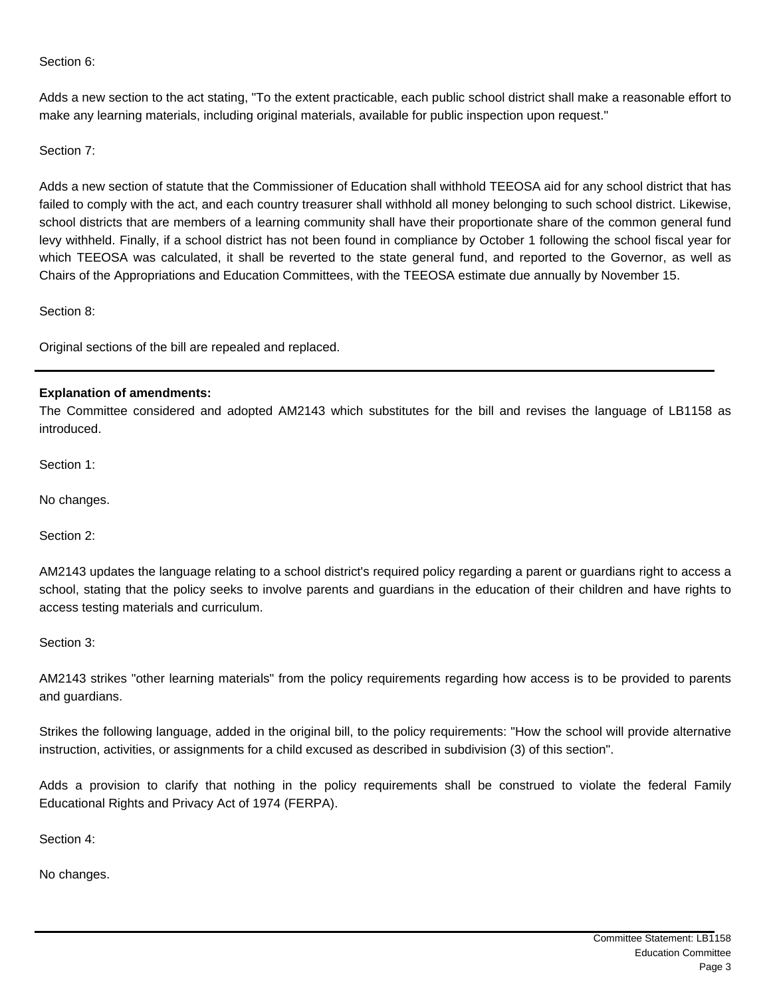Section 6:

Adds a new section to the act stating, "To the extent practicable, each public school district shall make a reasonable effort to make any learning materials, including original materials, available for public inspection upon request."

Section 7:

Adds a new section of statute that the Commissioner of Education shall withhold TEEOSA aid for any school district that has failed to comply with the act, and each country treasurer shall withhold all money belonging to such school district. Likewise, school districts that are members of a learning community shall have their proportionate share of the common general fund levy withheld. Finally, if a school district has not been found in compliance by October 1 following the school fiscal year for which TEEOSA was calculated, it shall be reverted to the state general fund, and reported to the Governor, as well as Chairs of the Appropriations and Education Committees, with the TEEOSA estimate due annually by November 15.

Section 8:

Original sections of the bill are repealed and replaced.

# **Explanation of amendments:**

The Committee considered and adopted AM2143 which substitutes for the bill and revises the language of LB1158 as introduced.

Section 1:

No changes.

Section 2:

AM2143 updates the language relating to a school district's required policy regarding a parent or guardians right to access a school, stating that the policy seeks to involve parents and guardians in the education of their children and have rights to access testing materials and curriculum.

Section 3:

AM2143 strikes "other learning materials" from the policy requirements regarding how access is to be provided to parents and guardians.

Strikes the following language, added in the original bill, to the policy requirements: "How the school will provide alternative instruction, activities, or assignments for a child excused as described in subdivision (3) of this section".

Adds a provision to clarify that nothing in the policy requirements shall be construed to violate the federal Family Educational Rights and Privacy Act of 1974 (FERPA).

Section 4:

No changes.